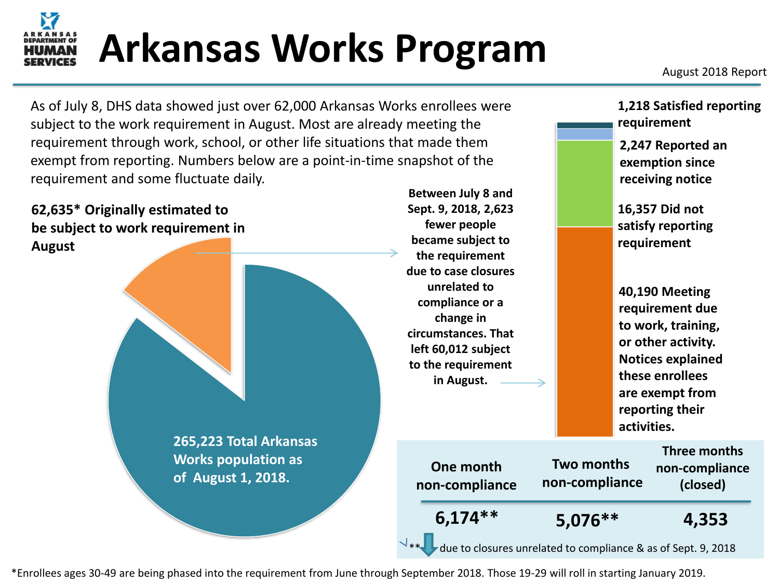# Arkansas Works Program

**2,247 Reported an exemption since receiving notice**

**requirement**

**1,218 Satisfied reporting** 

As of July 8, DHS data showed just over 62,000 Arkansas Works enrollees were subject to the work requirement in August. Most are already meeting the requirement through work, school, or other life situations that made them exempt from reporting. Numbers below are a point-in-time snapshot of the requirement and some fluctuate daily.



\*Enrollees ages 30-49 are being phased into the requirement from June through September 2018. Those 19-29 will roll in starting January 2019.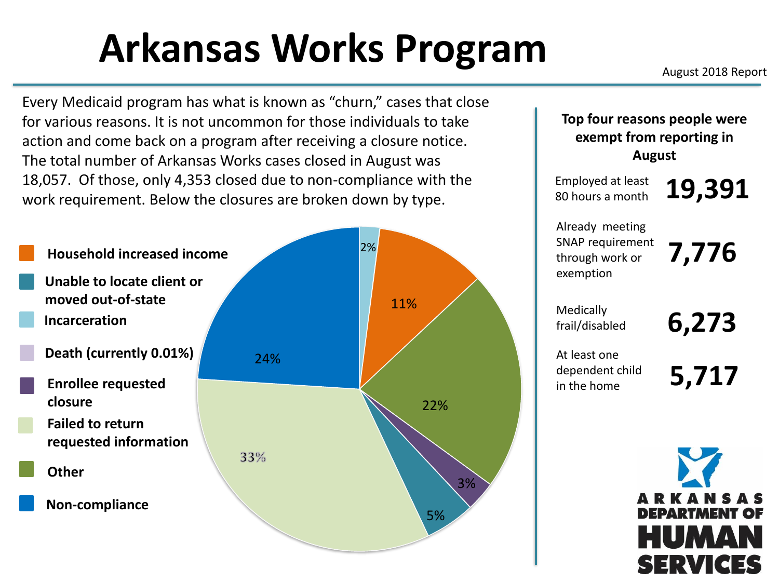## Arkansas Works Program

Every Medicaid program has what is known as "churn," cases that close for various reasons. It is not uncommon for those individuals to take action and come back on a program after receiving a closure notice. The total number of Arkansas Works cases closed in August was 18,057. Of those, only 4,353 closed due to non-compliance with the work requirement. Below the closures are broken down by type.

2% **Household increased income Unable to locate client or moved out-of-state** 11% **Incarceration Death (currently 0.01%)** 24%**Enrollee requested closure** 22% **Failed to return requested information** 33% **Other** 3% **Non-compliance** 5%

**Top four reasons people were exempt from reporting in August**

Employed at least **19,391** 80 hours a month

Already meeting SNAP requirement through work or exemption

**7,776**

Medically frail/disabled **6,273**

At least one dependent child in the home

**5,717**



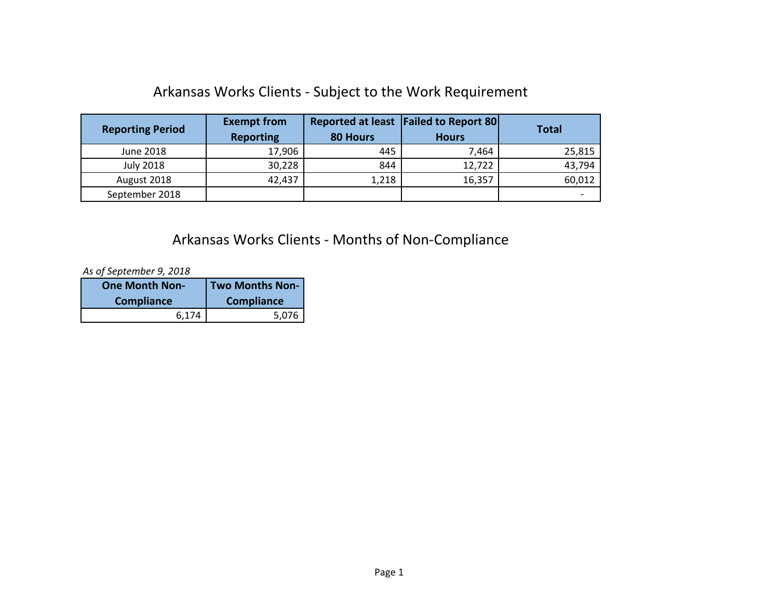#### Arkansas Works Clients - Subject to the Work Requirement

| <b>Reporting Period</b> | <b>Exempt from</b><br><b>Reporting</b> | <b>80 Hours</b> | Reported at least   Failed to Report 80 <br><b>Hours</b> | <b>Total</b> |
|-------------------------|----------------------------------------|-----------------|----------------------------------------------------------|--------------|
| June 2018               | 17,906                                 | 445             | 7,464                                                    | 25,815       |
| <b>July 2018</b>        | 30,228                                 | 844             | 12,722                                                   | 43,794       |
| August 2018             | 42,437                                 | 1,218           | 16,357                                                   | 60,012       |
| September 2018          |                                        |                 |                                                          |              |

#### Arkansas Works Clients - Months of Non-Compliance

*As of September 9, 2018*

| <b>One Month Non-</b> | Two Months Non-   |
|-----------------------|-------------------|
| <b>Compliance</b>     | <b>Compliance</b> |
| 6.174                 | 5,076             |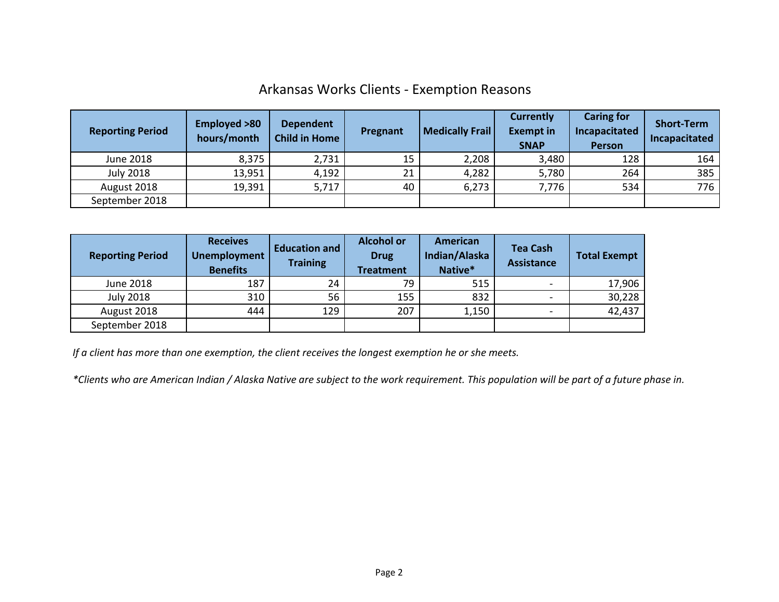#### Arkansas Works Clients - Exemption Reasons

| <b>Reporting Period</b> | <b>Employed &gt;80</b><br>hours/month | <b>Dependent</b><br><b>Child in Home</b> | Pregnant | <b>Medically Frail</b> | <b>Currently</b><br><b>Exempt in</b><br><b>SNAP</b> | <b>Caring for</b><br>Incapacitated<br><b>Person</b> | <b>Short-Term</b><br>Incapacitated |
|-------------------------|---------------------------------------|------------------------------------------|----------|------------------------|-----------------------------------------------------|-----------------------------------------------------|------------------------------------|
| June 2018               | 8,375                                 | 2,731                                    | 15       | 2,208                  | 3,480                                               | 128                                                 | 164                                |
| <b>July 2018</b>        | 13,951                                | 4,192                                    | 21       | 4,282                  | 5,780                                               | 264                                                 | 385                                |
| August 2018             | 19,391                                | 5,717                                    | 40       | 6,273                  | 7,776                                               | 534                                                 | 776                                |
| September 2018          |                                       |                                          |          |                        |                                                     |                                                     |                                    |

| <b>Reporting Period</b> | <b>Receives</b><br><b>Unemployment</b><br><b>Benefits</b> | <b>Education and</b><br><b>Training</b> | <b>Alcohol or</b><br><b>Drug</b><br><b>Treatment</b> | American<br>Indian/Alaska<br>Native* | <b>Tea Cash</b><br><b>Assistance</b> | <b>Total Exempt</b> |
|-------------------------|-----------------------------------------------------------|-----------------------------------------|------------------------------------------------------|--------------------------------------|--------------------------------------|---------------------|
| June 2018               | 187                                                       | 24                                      | 79                                                   | 515                                  | $\qquad \qquad$                      | 17,906              |
| <b>July 2018</b>        | 310                                                       | 56                                      | 155                                                  | 832                                  | $\qquad \qquad$                      | 30,228              |
| August 2018             | 444                                                       | 129                                     | 207                                                  | 1,150                                | $\overline{\phantom{a}}$             | 42,437              |
| September 2018          |                                                           |                                         |                                                      |                                      |                                      |                     |

*If a client has more than one exemption, the client receives the longest exemption he or she meets.*

*\*Clients who are American Indian / Alaska Native are subject to the work requirement. This population will be part of a future phase in.*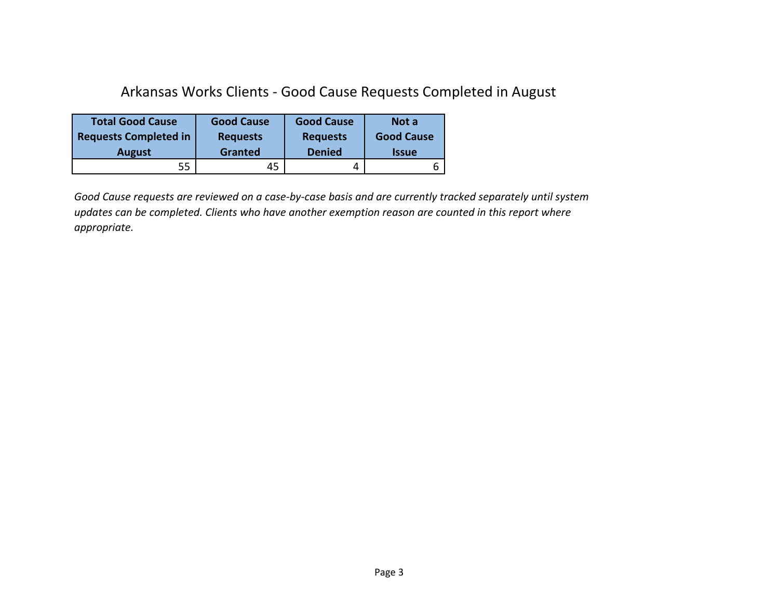#### Arkansas Works Clients - Good Cause Requests Completed in August

| <b>Total Good Cause</b>      | <b>Good Cause</b> | <b>Good Cause</b> | Not a               |
|------------------------------|-------------------|-------------------|---------------------|
| <b>Requests Completed in</b> | <b>Requests</b>   | <b>Requests</b>   | <b>Good Cause</b>   |
| <b>August</b>                | Granted           | <b>Denied</b>     | <i><b>Issue</b></i> |
| 55                           | 45                |                   |                     |

*Good Cause requests are reviewed on a case-by-case basis and are currently tracked separately until system updates can be completed. Clients who have another exemption reason are counted in this report where appropriate.*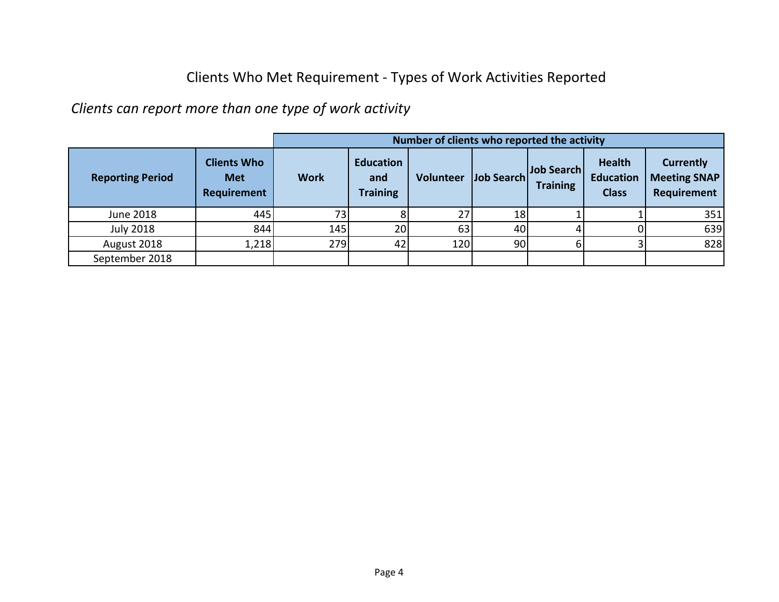#### Clients Who Met Requirement - Types of Work Activities Reported

*Clients can report more than one type of work activity*

|                         |                                                        | Number of clients who reported the activity |                                            |           |                   |                               |                                                   |                                                        |  |
|-------------------------|--------------------------------------------------------|---------------------------------------------|--------------------------------------------|-----------|-------------------|-------------------------------|---------------------------------------------------|--------------------------------------------------------|--|
| <b>Reporting Period</b> | <b>Clients Who</b><br><b>Met</b><br><b>Requirement</b> | <b>Work</b>                                 | <b>Education</b><br>and<br><b>Training</b> | Volunteer | <b>Job Search</b> | Job Search<br><b>Training</b> | <b>Health</b><br><b>Education</b><br><b>Class</b> | <b>Currently</b><br><b>Meeting SNAP</b><br>Requirement |  |
| June 2018               | 445                                                    | 73 <sub>1</sub>                             |                                            | 27        | 18                |                               |                                                   | 351                                                    |  |
| <b>July 2018</b>        | 844                                                    | 145                                         | 20                                         | 63        | 40                |                               |                                                   | 639                                                    |  |
| August 2018             | 1,218                                                  | 279                                         | 42                                         | 120       | 90                |                               |                                                   | 828                                                    |  |
| September 2018          |                                                        |                                             |                                            |           |                   |                               |                                                   |                                                        |  |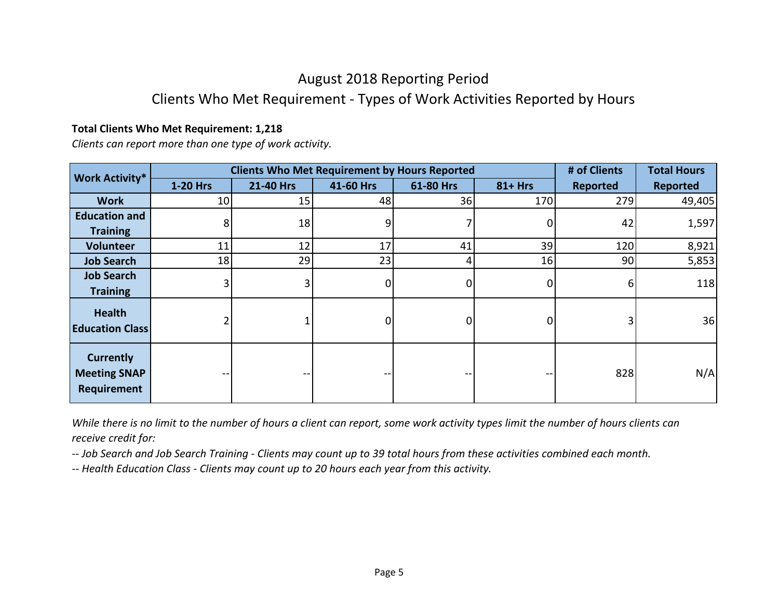### August 2018 Reporting Period

#### Clients Who Met Requirement - Types of Work Activities Reported by Hours

#### **Total Clients Who Met Requirement: 1,218**

*Clients can report more than one type of work activity.*

| <b>Work Activity*</b>                                  |          | <b>Clients Who Met Requirement by Hours Reported</b> |           |           |            | # of Clients | <b>Total Hours</b> |
|--------------------------------------------------------|----------|------------------------------------------------------|-----------|-----------|------------|--------------|--------------------|
|                                                        | 1-20 Hrs | 21-40 Hrs                                            | 41-60 Hrs | 61-80 Hrs | $81 + Hrs$ | Reported     | <b>Reported</b>    |
| <b>Work</b>                                            | 10       | 15                                                   | 48        | 36        | 170        | 279          | 49,405             |
| <b>Education and</b>                                   | 8        | 18                                                   | 9         |           |            | 42           | 1,597              |
| <b>Training</b>                                        |          |                                                      |           |           |            |              |                    |
| <b>Volunteer</b>                                       | 11       | 12                                                   | 17        | 41        | 39         | 120          | 8,921              |
| <b>Job Search</b>                                      | 18       | 29                                                   | 23        | 41        | 16         | 90           | 5,853              |
| <b>Job Search</b>                                      |          |                                                      | 0         | 0         |            | 6            | 118                |
| <b>Training</b>                                        |          |                                                      |           |           |            |              |                    |
| <b>Health</b><br><b>Education Class</b>                |          |                                                      | 01        | 0         |            |              | 36                 |
| <b>Currently</b><br><b>Meeting SNAP</b><br>Requirement |          |                                                      | --        |           |            | 828          | N/A                |

*While there is no limit to the number of hours a client can report, some work activity types limit the number of hours clients can receive credit for:*

*-- Job Search and Job Search Training - Clients may count up to 39 total hours from these activities combined each month.*

*-- Health Education Class - Clients may count up to 20 hours each year from this activity.*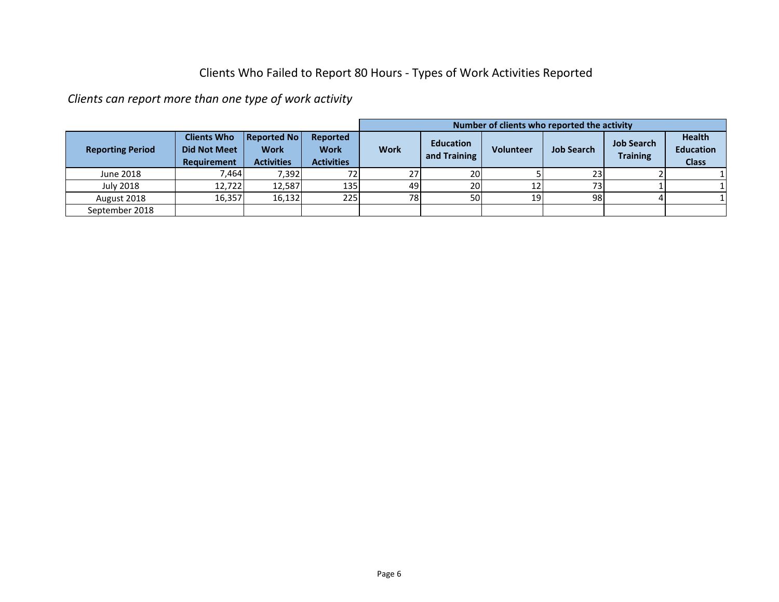#### Clients Who Failed to Report 80 Hours - Types of Work Activities Reported

*Clients can report more than one type of work activity*

|                         |                                                          |                                                        |                                              | Number of clients who reported the activity |                                  |           |                   |                                      |                                                   |  |
|-------------------------|----------------------------------------------------------|--------------------------------------------------------|----------------------------------------------|---------------------------------------------|----------------------------------|-----------|-------------------|--------------------------------------|---------------------------------------------------|--|
| <b>Reporting Period</b> | <b>Clients Who</b><br><b>Did Not Meet</b><br>Requirement | <b>Reported No</b><br><b>Work</b><br><b>Activities</b> | Reported<br><b>Work</b><br><b>Activities</b> | <b>Work</b>                                 | <b>Education</b><br>and Training | Volunteer | <b>Job Search</b> | <b>Job Search</b><br><b>Training</b> | <b>Health</b><br><b>Education</b><br><b>Class</b> |  |
| June 2018               | 7,464                                                    | 7,392                                                  | 72                                           | 27                                          | 20                               |           | 23                |                                      |                                                   |  |
| <b>July 2018</b>        | 12,722                                                   | 12,587                                                 | 135                                          | 49                                          | 20                               | 12        | 73 <sub>1</sub>   |                                      |                                                   |  |
| August 2018             | 16,357                                                   | 16,132                                                 | 225                                          | 78 <sup> </sup>                             | 50                               | 19        | 98                |                                      |                                                   |  |
| September 2018          |                                                          |                                                        |                                              |                                             |                                  |           |                   |                                      |                                                   |  |